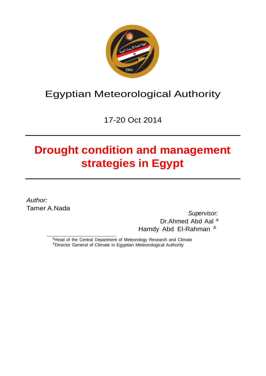

# Egyptian Meteorological Authority

17-20 Oct 2014

# **Drought condition and management strategies in Egypt**

*Author:* Tamer A.Nada

*Supervisor:* Dr.Ahmed Abd Aal *[a](#page-0-0)* Hamdy Abd El-Rahman *[b](#page-0-0)*

<span id="page-0-0"></span><sup>a</sup>Head of the Central Department of Meteorology Research and Climate *<sup>b</sup>*Director General of Climate in Egyptian Meteorological Authority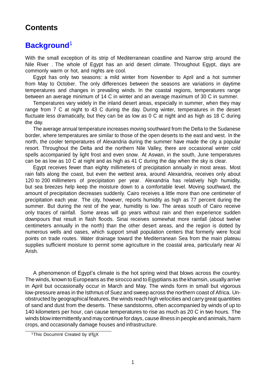### **Contents**

# **Background**[1](#page-1-0)

With the small exception of its strip of Mediterranean coastline and Narrow strip around the Nile River . The whole of Egypt has an arid desert climate. Throughout Egypt, days are commonly warm or hot, and nights are cool.

Egypt has only two seasons: a mild winter from November to April and a hot summer from May to October. The only differences between the seasons are variations in daytime temperatures and changes in prevailing winds. In the coastal regions, temperatures range between an average minimum of 14 C in winter and an average maximum of 30 C in summer.

Temperatures vary widely in the inland desert areas, especially in summer, when they may range from 7 C at night to 43 C during the day. During winter, temperatures in the desert fluctuate less dramatically, but they can be as low as 0 C at night and as high as 18 C during the day.

The average annual temperature increases moving southward from the Delta to the Sudanese border, where temperatures are similar to those of the open deserts to the east and west. In the north, the cooler temperatures of Alexandria during the summer have made the city a popular resort. Throughout the Delta and the northern Nile Valley, there are occasional winter cold spells accompanied by light frost and even snow. At Aswan, in the south, June temperatures can be as low as 10 C at night and as high as 41 C during the day when the sky is clear.

Egypt receives fewer than eighty millimeters of precipitation annually in most areas. Most rain falls along the coast, but even the wettest area, around Alexandria, receives only about 120 to 200 millimeters of precipitation per year. Alexandria has relatively high humidity, but sea breezes help keep the moisture down to a comfortable level. Moving southward, the amount of precipitation decreases suddenly. Cairo receives a little more than one centimeter of precipitation each year. The city, however, reports humidity as high as 77 percent during the summer. But during the rest of the year, humidity is low. The areas south of Cairo receive only traces of rainfall. Some areas will go years without rain and then experience sudden downpours that result in flash floods. Sinai receives somewhat more rainfall (about twelve centimeters annually in the north) than the other desert areas, and the region is dotted by numerous wells and oases, which support small population centers that formerly were focal points on trade routes. Water drainage toward the Mediterranean Sea from the main plateau supplies sufficient moisture to permit some agriculture in the coastal area, particularly near Al Arish.

A phenomenon of Egypt's climate is the hot spring wind that blows across the country. The winds, known to Europeans as the sirocco and to Egyptians as the khamsin, usually arrive in April but occasionally occur in March and May. The winds form in small but vigorous low-pressure areas in the Isthmus of Suez and sweep across the northern coast of Africa. Unobstructed by geographical features, the winds reach high velocities and carry great quantities of sand and dust from the deserts. These sandstorms, often accompanied by winds of up to 140 kilometers per hour, can cause temperatures to rise as much as 20 C in two hours. The winds blow intermittently and may continue for days, cause illness in people and animals, harm crops, and occasionally damage houses and infrastructure.

<span id="page-1-0"></span><sup>&</sup>lt;sup>1</sup>This Documrnt Created by LAT<sub>E</sub>X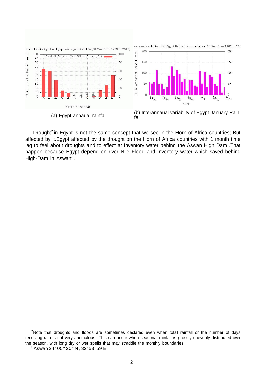

Drought<sup>[2](#page-2-0)</sup> in Egypt is not the same concept that we see in the Horn of Africa countries; But affected by it.Egypt affected by the drought on the Horn of Africa countries with 1 month time lag to feel about droughts and to effect at Inventory water behind the Aswan High Dam .That happen because Egypt depend on river Nile Flood and Inventory water which saved behind High-Dam in Aswan<sup>[3](#page-2-1)</sup>.

<span id="page-2-0"></span><sup>&</sup>lt;sup>2</sup>Note that droughts and floods are sometimes declared even when total rainfall or the number of days receiving rain is not very anomalous. This can occur when seasonal rainfall is grossly unevenly distributed over the season, with long dry or wet spells that may straddle the monthly boundaries.

<span id="page-2-1"></span><sup>3</sup>Aswan 24*◦* 05'' 20" N , 32*◦*53' 59 E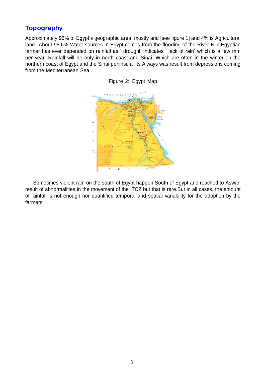### **Topography**

<span id="page-3-0"></span>Approximately 96% of Egypt's geographic area, mostly arid [see figure 1] and 4% is Agricultural land. About 98.6% Water sources in Egypt comes from the flooding of the River Nile,Egyptian farmer has ever depended on rainfall as ' drought' indicates ' lack of rain' which is a few mm per year .Rainfall will be only in north coast and Sinai .Which are often in the winter on the northern coast of Egypt and the Sinai peninsula .its Always was result from depressions coming from the Mediterranean Sea .





Sometimes violent rain on the south of Egypt happen South of Egypt and reached to Aswan result of abnormalities in the movement of the ITCZ but that is rare.But in all cases, the amount of rainfall is not enough nor quantified temporal and spatial variability for the adoption by the farmers.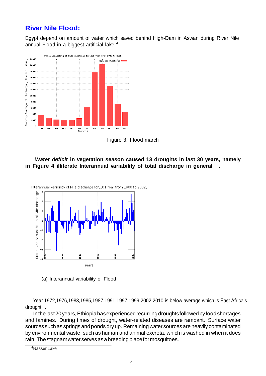### **River Nile Flood:**

Egypt depend on amount of water which saved behind High-Dam in Aswan during River Nile annual Flood in a biggest artificial lake <sup>[4](#page-4-0)</sup>



Figure 3: Flood march

#### <span id="page-4-1"></span>*Water deficit* **in vegetation season caused 13 droughts in last 30 years, namely in Figure 4 illiterate Interannual variability of total discharge in general** .



(a) Interannual variability of Flood

Year 1972,1976,1983,1985,1987,1991,1997,1999,2002,2010 is below average.which is East Africa's drought .

Inthelast20years,Ethiopiahasexperiencedrecurringdroughtsfollowedbyfoodshortages and famines. During times of drought, water-related diseases are rampant. Surface water sources such as springs and ponds dry up. Remaining water sources are heavily contaminated by environmental waste, such as human and animal excreta, which is washed in when it does rain. The stagnant water serves as a breeding place for mosquitoes.

<span id="page-4-0"></span><sup>4</sup>Nasser Lake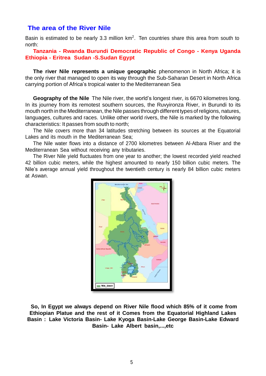#### **The area of the River Nile**

Basin is estimated to be nearly 3.3 million  $km^2$ . Ten countries share this area from south to north:

#### **Tanzania - Rwanda Burundi Democratic Republic of Congo - Kenya Uganda Ethiopia - Eritrea Sudan -S.Sudan Egypt**

**The river Nile represents a unique geographic** phenomenon in North Africa; it is the only river that managed to open its way through the Sub-Saharan Desert in North Africa carrying portion of Africa's tropical water to the Mediterranean Sea

**Geography of the Nile** The Nile river, the world's longest river, is 6670 kilometres long. In its journey from its remotest southern sources, the Ruvyironza River, in Burundi to its mouth north in the Mediterranean, the Nile passes through different types of religions, natures, languages, cultures and races. Unlike other world rivers, the Nile is marked by the following characteristics: It passes from south to north;

The Nile covers more than 34 latitudes stretching between its sources at the Equatorial Lakes and its mouth in the Mediterranean Sea;

The Nile water flows into a distance of 2700 kilometres between Al-Atbara River and the Mediterranean Sea without receiving any tributaries.

The River Nile yield fluctuates from one year to another; the lowest recorded yield reached 42 billion cubic meters, while the highest amounted to nearly 150 billion cubic meters. The Nile's average annual yield throughout the twentieth century is nearly 84 billion cubic meters at Aswan.



**So, In Egypt we always depend on River Nile flood which 85% of it come from Ethiopian Platue and the rest of it Comes from the Equatorial Highland Lakes Basin : Lake Victoria Basin- Lake Kyoga Basin-Lake George Basin-Lake Edward Basin- Lake Albert basin,...,etc**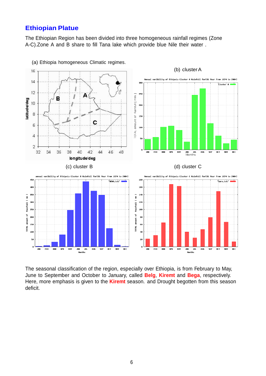#### **Ethiopian Platue**

The Ethiopian Region has been divided into three homogeneous rainfall regimes (Zone A-C).Zone A and B share to fill Tana lake which provide blue Nile their water .



(a) Ethiopia homogeneous Climatic regimes.

The seasonal classification of the region, especially over Ethiopia, is from February to May, June to September and October to January, called **Belg**, **Kiremt** and **Bega**, respectively. Here, more emphasis is given to the **Kiremt** season. and Drought begotten from this season deficit.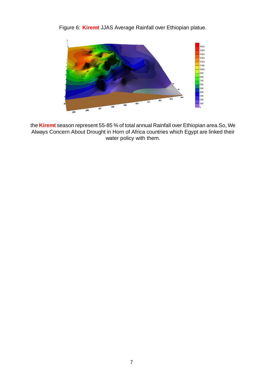<span id="page-7-0"></span>Figure 6: **Kiremt** JJAS Average Rainfall over Ethiopian platue.



the **Kiremt** season represent 55-85 % of total annual Rainfall over Ethiopian area.So, We Always Concern About Drought in Horn of Africa countries which Egypt are linked their water policy with them.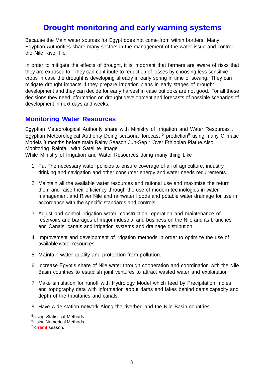# **Drought monitoring and early warning systems**

Because the Main water sources for Egypt does not come from within borders. Many Egyptian Authorities share many sectors in the management of the water issue and control the Nile River file.

In order to mitigate the effects of drought, it is important that farmers are aware of risks that they are exposed to. They can contribute to reduction of losses by choosing less sensitive crops in case the drought is developing already in early spring in time of sowing. They can mitigate drought impacts if they prepare irrigation plans in early stages of drought development and they can decide for early harvest in case outlooks are not good. For all these decisions they need information on drought development and forecasts of possible scenarios of development in next days and weeks.

#### **Monitoring Water Resources**

Egyptian Meteorological Authority share with Ministry of Irrigation and Water Resources . Egyptian Meteorological Authority Doing seasonal forecast  $5$  prediction<sup>6</sup> using many Climatic Models 3 months before main Rainy Season Jun-Sep<sup>[7](#page-8-1)</sup> Over Ethiopian Platue.Also Monitoring Rainfall with Satellite Image

While Ministry of Irrigation and Water Resources doing many thing Like

- 1. Put The necessary water policies to ensure coverage of all of agriculture, industry, drinking and navigation and other consumer energy and water needs requirements.
- 2. Maintain all the available water resources and rational use and maximize the return them and raise their efficiency through the use of modern technologies in water management and River Nile and rainwater floods and potable water drainage for use in accordance with the specific standards and controls.
- 3. Adjust and control irrigation water, construction, operation and maintenance of reservoirs and barrages of major industrial and business on the Nile and its branches and Canals, canals and irrigation systems and drainage distribution.
- 4. Improvement and development of irrigation methods in order to optimize the use of available water resources.
- 5. Maintain water quality and protection from pollution.
- 6. Increase Egypt's share of Nile water through cooperation and coordination with the Nile Basin countries to establish joint ventures to attract wasted water and exploitation
- 7. Make simulation for runoff with Hydrology Model which feed by Precipitation Indies and topography data with information about dams and lakes behind dams,capacity and depth of the tributaries and canals.
- 8. Have wide station network Along the riverbed and the Nile Basin countries

<span id="page-8-0"></span><sup>5</sup>Using Statistical Methods

<span id="page-8-1"></span><sup>6</sup>Using Numerical Methods

<sup>7</sup>**Kiremt** season.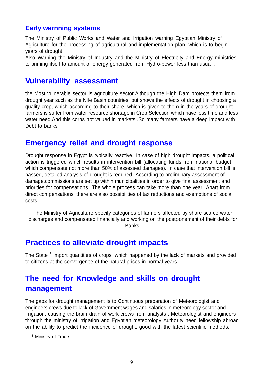#### **Early warnning systems**

The Ministry of Public Works and Water and Irrigation warning Egyptian Ministry of Agriculture for the processing of agricultural and implementation plan, which is to begin years of drought

Also Warning the Ministry of Industry and the Ministry of Electricity and Energy ministries to priming itself to amount of energy generated from Hydro-power less than usual .

### **Vulnerability assessment**

the Most vulnerable sector is agriculture sector.Although the High Dam protects them from drought year such as the Nile Basin countries, but shows the effects of drought in choosing a quality crop, which according to their share, which is given to them in the years of drought. farmers is suffer from water resource shortage in Crop Selection which have less time and less water need.And this corps not valued in markets .So many farmers have a deep impact with Debt to banks

### **Emergency relief and drought response**

Drought response in Egypt is typically reactive. In case of high drought impacts, a political action is triggered which results in intervention bill (allocating funds from national budget which compensate not more than 50% of assessed damages). In case that intervention bill is passed, detailed analysis of drought is required. According to preliminary assessment of damage,commissions are set up within municipalities in order to give final assessment and priorities for compensations. The whole process can take more than one year. Apart from direct compensations, there are also possibilities of tax reductions and exemptions of social costs

The Ministry of Agriculture specify categories of farmers affected by share scarce water discharges and compensated financially and working on the postponement of their debts for Banks.

## **Practices to alleviate drought impacts**

The State <sup>8</sup> import quantities of crops, which happened by the lack of markets and provided to citizens at the convergence of the natural prices in normal years

# **The need for Knowledge and skills on drought management**

The gaps for drought management is to Continuous preparation of Meteorologist and engineers crews due to lack of Government wages and salaries in meteorology sector and irrigation, causing the brain drain of work crews from analysts , Meteorologist and engineers through the ministry of irrigation and Egyptian meteorology Authority need fellowship abroad on the ability to predict the incidence of drought, good with the latest scientific methods.

<span id="page-9-0"></span><sup>&</sup>lt;sup>8</sup> Ministry of Trade